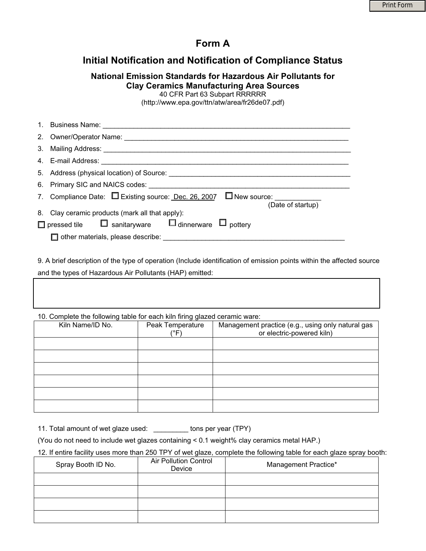### **Form A**

## **Initial Notification and Notification of Compliance Status**

### **National Emission Standards for Hazardous Air Pollutants for Clay Ceramics Manufacturing Area Sources**

40 CFR Part 63 Subpart RRRRRR

(http://www.epa.gov/ttn/atw/area/fr26de07.pdf)

| 1. Business Name: The Society of the Society of the Society of the Society of the Society of the Society of the Society of the Society of the Society of the Society of the Society of the Society of the Society of the Socie |
|--------------------------------------------------------------------------------------------------------------------------------------------------------------------------------------------------------------------------------|
|                                                                                                                                                                                                                                |
|                                                                                                                                                                                                                                |
| 4. E-mail Address: Annual School and School and School and School and School and School and School and School                                                                                                                  |
|                                                                                                                                                                                                                                |
| 6. Primary SIC and NAICS codes:                                                                                                                                                                                                |
| 7. Compliance Date:<br><u> </u> <b>Existing source:</b> <u>Dec. 26, 2007</u><br>□ New source: ___________<br>(Date of startup)                                                                                                 |
| 8. Clay ceramic products (mark all that apply):                                                                                                                                                                                |
| $\Box$ pressed tile $\Box$ sanitaryware $\Box$ dinnerware $\Box$ pottery                                                                                                                                                       |
| other materials, please describe: with the materials of the materials of the materials of the materials of the                                                                                                                 |

9. A brief description of the type of operation (Include identification of emission points within the affected source and the types of Hazardous Air Pollutants (HAP) emitted:

10. Complete the following table for each kiln firing glazed ceramic ware:

| Tor complete the following table for each full illing glazed columno march |                  |                                                   |
|----------------------------------------------------------------------------|------------------|---------------------------------------------------|
| Kiln Name/ID No.                                                           | Peak Temperature | Management practice (e.g., using only natural gas |
|                                                                            | (°F)             | or electric-powered kiln)                         |
|                                                                            |                  |                                                   |
|                                                                            |                  |                                                   |
|                                                                            |                  |                                                   |
|                                                                            |                  |                                                   |
|                                                                            |                  |                                                   |
|                                                                            |                  |                                                   |
|                                                                            |                  |                                                   |
|                                                                            |                  |                                                   |
|                                                                            |                  |                                                   |
|                                                                            |                  |                                                   |
|                                                                            |                  |                                                   |
|                                                                            |                  |                                                   |

11. Total amount of wet glaze used: \_\_\_\_\_\_\_\_\_ tons per year (TPY)

(You do not need to include wet glazes containing < 0.1 weight% clay ceramics metal HAP.)

12. If entire facility uses more than 250 TPY of wet glaze, complete the following table for each glaze spray booth:

| Spray Booth ID No. | <b>Air Pollution Control</b><br>Device | Management Practice* |
|--------------------|----------------------------------------|----------------------|
|                    |                                        |                      |
|                    |                                        |                      |
|                    |                                        |                      |
|                    |                                        |                      |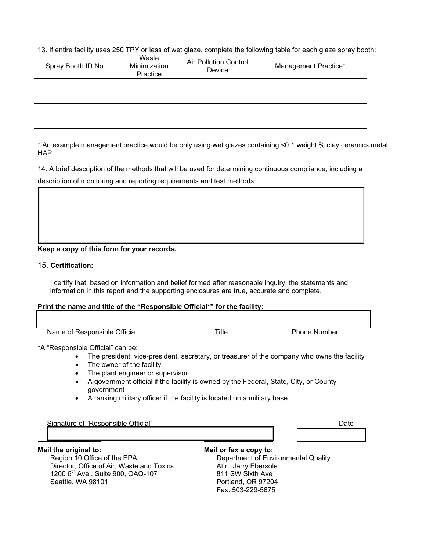13. If entire facility uses 250 TPY or less of wet glaze, complete the following table for each glaze spray booth:

| Spray Booth ID No. | Waste<br>Minimization<br>Practice | <b>Air Pollution Control</b><br>Device | Management Practice* |
|--------------------|-----------------------------------|----------------------------------------|----------------------|
|                    |                                   |                                        |                      |
|                    |                                   |                                        |                      |
|                    |                                   |                                        |                      |
|                    |                                   |                                        |                      |
|                    |                                   |                                        |                      |

\* An example management practice would be only using wet glazes containing <0.1 weight % clay ceramics metal HAP.

14. A brief description of the methods that will be used for determining continuous compliance, including a description of monitoring and reporting requirements and test methods:

#### **Keep a copy of this form for your records.**

#### 15. **Certification:**

I certify that, based on information and belief formed after reasonable inquiry, the statements and information in this report and the supporting enclosures are true, accurate and complete.

#### **Print the name and title of the "Responsible Official\*" for the facility:**

| Name of Responsible Official | Title | <b>Phone Number</b> |
|------------------------------|-------|---------------------|
|                              |       |                     |

\*A "Responsible Official" can be:

- The president, vice-president, secretary, or treasurer of the company who owns the facility
- The owner of the facility
- The plant engineer or supervisor
- $\bullet$  A government official if the facility is owned by the Federal, State, City, or County government
- A ranking military officer if the facility is located on a military base

| Official"<br>Signature of "Responsible<br>$\sim$ cos<br>ne v |  |
|--------------------------------------------------------------|--|
|                                                              |  |

#### **Mail the original to:**

Region 10 Office of the EPA Director, Office of Air, Waste and Toxics 1200 6th Ave., Suite 900, OAQ-107 Seattle, WA 98101

**Mail or fax a copy to:** Department of Environmental Quality Attn: Jerry Ebersole 811 SW Sixth Ave Portland, OR 97204 Fax: 503-229-5675